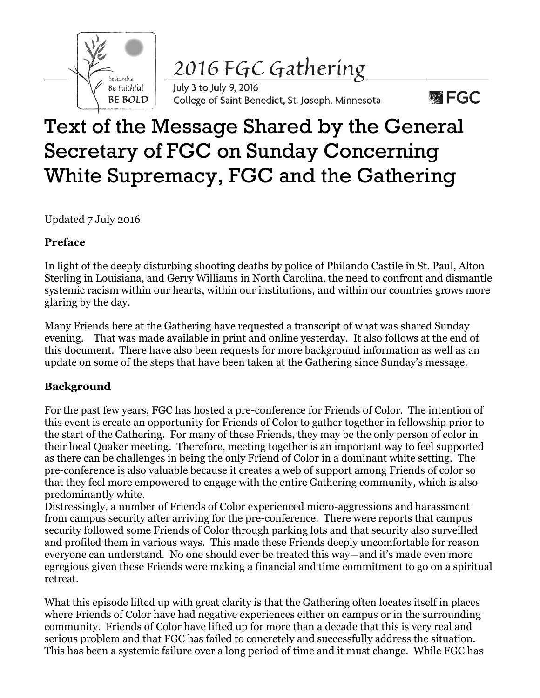

2016 FGC Gathering

July 3 to July 9, 2016 College of Saint Benedict, St. Joseph, Minnesota

# **WEGC**

# Text of the Message Shared by the General Secretary of FGC on Sunday Concerning White Supremacy, FGC and the Gathering

Updated 7 July 2016

## **Preface**

In light of the deeply disturbing shooting deaths by police of Philando Castile in St. Paul, Alton Sterling in Louisiana, and Gerry Williams in North Carolina, the need to confront and dismantle systemic racism within our hearts, within our institutions, and within our countries grows more glaring by the day.

Many Friends here at the Gathering have requested a transcript of what was shared Sunday evening. That was made available in print and online yesterday. It also follows at the end of this document. There have also been requests for more background information as well as an update on some of the steps that have been taken at the Gathering since Sunday's message.

# **Background**

For the past few years, FGC has hosted a pre-conference for Friends of Color. The intention of this event is create an opportunity for Friends of Color to gather together in fellowship prior to the start of the Gathering. For many of these Friends, they may be the only person of color in their local Quaker meeting. Therefore, meeting together is an important way to feel supported as there can be challenges in being the only Friend of Color in a dominant white setting. The pre-conference is also valuable because it creates a web of support among Friends of color so that they feel more empowered to engage with the entire Gathering community, which is also predominantly white.

Distressingly, a number of Friends of Color experienced micro-aggressions and harassment from campus security after arriving for the pre-conference. There were reports that campus security followed some Friends of Color through parking lots and that security also surveilled and profiled them in various ways. This made these Friends deeply uncomfortable for reason everyone can understand. No one should ever be treated this way—and it's made even more egregious given these Friends were making a financial and time commitment to go on a spiritual retreat.

What this episode lifted up with great clarity is that the Gathering often locates itself in places where Friends of Color have had negative experiences either on campus or in the surrounding community. Friends of Color have lifted up for more than a decade that this is very real and serious problem and that FGC has failed to concretely and successfully address the situation. This has been a systemic failure over a long period of time and it must change. While FGC has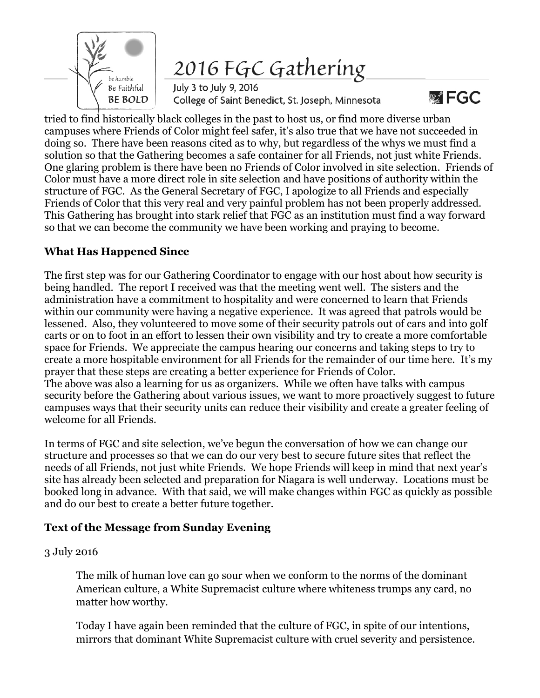

2016 FGC Gathering

July 3 to July 9, 2016 College of Saint Benedict, St. Joseph, Minnesota

 $\mathbb{Z}$  FGC

tried to find historically black colleges in the past to host us, or find more diverse urban campuses where Friends of Color might feel safer, it's also true that we have not succeeded in doing so. There have been reasons cited as to why, but regardless of the whys we must find a solution so that the Gathering becomes a safe container for all Friends, not just white Friends. One glaring problem is there have been no Friends of Color involved in site selection. Friends of Color must have a more direct role in site selection and have positions of authority within the structure of FGC. As the General Secretary of FGC, I apologize to all Friends and especially Friends of Color that this very real and very painful problem has not been properly addressed. This Gathering has brought into stark relief that FGC as an institution must find a way forward so that we can become the community we have been working and praying to become.

### **What Has Happened Since**

The first step was for our Gathering Coordinator to engage with our host about how security is being handled. The report I received was that the meeting went well. The sisters and the administration have a commitment to hospitality and were concerned to learn that Friends within our community were having a negative experience. It was agreed that patrols would be lessened. Also, they volunteered to move some of their security patrols out of cars and into golf carts or on to foot in an effort to lessen their own visibility and try to create a more comfortable space for Friends. We appreciate the campus hearing our concerns and taking steps to try to create a more hospitable environment for all Friends for the remainder of our time here. It's my prayer that these steps are creating a better experience for Friends of Color. The above was also a learning for us as organizers. While we often have talks with campus security before the Gathering about various issues, we want to more proactively suggest to future campuses ways that their security units can reduce their visibility and create a greater feeling of welcome for all Friends.

In terms of FGC and site selection, we've begun the conversation of how we can change our structure and processes so that we can do our very best to secure future sites that reflect the needs of all Friends, not just white Friends. We hope Friends will keep in mind that next year's site has already been selected and preparation for Niagara is well underway. Locations must be booked long in advance. With that said, we will make changes within FGC as quickly as possible and do our best to create a better future together.

#### **Text of the Message from Sunday Evening**

#### 3 July 2016

The milk of human love can go sour when we conform to the norms of the dominant American culture, a White Supremacist culture where whiteness trumps any card, no matter how worthy.

Today I have again been reminded that the culture of FGC, in spite of our intentions, mirrors that dominant White Supremacist culture with cruel severity and persistence.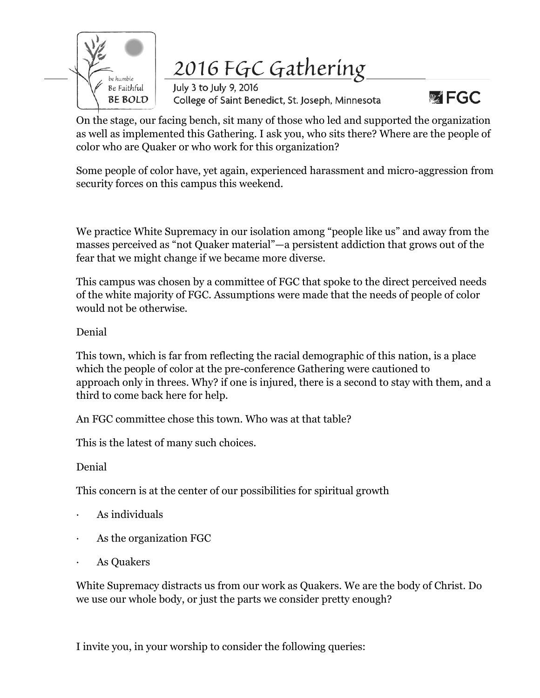

2016 FGC Gathering

July 3 to July 9, 2016 College of Saint Benedict, St. Joseph, Minnesota



On the stage, our facing bench, sit many of those who led and supported the organization as well as implemented this Gathering. I ask you, who sits there? Where are the people of color who are Quaker or who work for this organization?

Some people of color have, yet again, experienced harassment and micro-aggression from security forces on this campus this weekend.

We practice White Supremacy in our isolation among "people like us" and away from the masses perceived as "not Quaker material"—a persistent addiction that grows out of the fear that we might change if we became more diverse.

This campus was chosen by a committee of FGC that spoke to the direct perceived needs of the white majority of FGC. Assumptions were made that the needs of people of color would not be otherwise.

#### Denial

This town, which is far from reflecting the racial demographic of this nation, is a place which the people of color at the pre-conference Gathering were cautioned to approach only in threes. Why? if one is injured, there is a second to stay with them, and a third to come back here for help.

An FGC committee chose this town. Who was at that table?

This is the latest of many such choices.

Denial

This concern is at the center of our possibilities for spiritual growth

- · As individuals
- As the organization FGC
- As Quakers

White Supremacy distracts us from our work as Quakers. We are the body of Christ. Do we use our whole body, or just the parts we consider pretty enough?

I invite you, in your worship to consider the following queries: